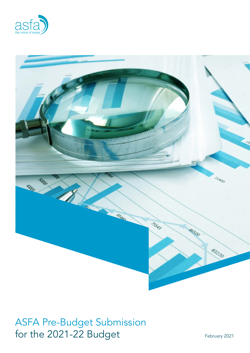



# ASFA Pre-Budget Submission for the 2021-22 Budget February 2021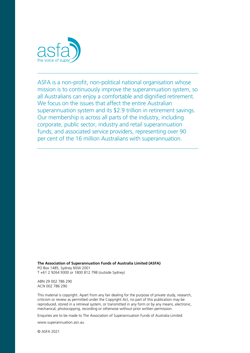

ASFA is a non-profit, non-political national organisation whose mission is to continuously improve the superannuation system, so all Australians can enjoy a comfortable and dignified retirement. We focus on the issues that affect the entire Australian superannuation system and its \$2.9 trillion in retirement savings. Our membership is across all parts of the industry, including corporate, public sector, industry and retail superannuation funds, and associated service providers, representing over 90 per cent of the 16 million Australians with superannuation.

**The Association of Superannuation Funds of Australia Limited (ASFA)** PO Box 1485, Sydney NSW 2001 T +61 2 9264 9300 or 1800 812 798 (outside Sydney)

ABN 29 002 786 290

ACN 002 786 290

This material is copyright. Apart from any fair dealing for the purpose of private study, research, criticism or review as permitted under the Copyright Act, no part of this publication may be reproduced, stored in a retrieval system, or transmitted in any form or by any means, electronic, mechanical, photocopying, recording or otherwise without prior written permission.

Enquiries are to be made to The Association of Superannuation Funds of Australia Limited.

[www.superannuation.asn.au](https://www.superannuation.asn.au/)

© ASFA 2021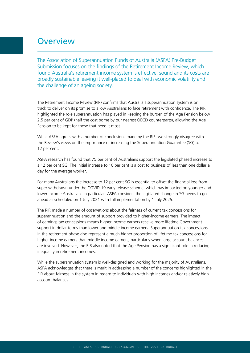# **Overview**

The Association of Superannuation Funds of Australia (ASFA) Pre-Budget Submission focuses on the findings of the Retirement Income Review, which found Australia's retirement income system is effective, sound and its costs are broadly sustainable leaving it well-placed to deal with economic volatility and the challenge of an ageing society.

The Retirement Income Review (RIR) confirms that Australia's superannuation system is on track to deliver on its promise to allow Australians to face retirement with confidence. The RIR highlighted the role superannuation has played in keeping the burden of the Age Pension below 2.5 per cent of GDP (half the cost borne by our nearest OECD counterparts), allowing the Age Pension to be kept for those that need it most.

While ASFA agrees with a number of conclusions made by the RIR, we strongly disagree with the Review's views on the importance of increasing the Superannuation Guarantee (SG) to 12 per cent.

ASFA research has found that 75 per cent of Australians support the legislated phased increase to a 12 per cent SG. The initial increase to 10 per cent is a cost to business of less than one dollar a day for the average worker.

For many Australians the increase to 12 per cent SG is essential to offset the financial loss from super withdrawn under the COVID-19 early release scheme, which has impacted on younger and lower income Australians in particular. ASFA considers the legislated change in SG needs to go ahead as scheduled on 1 July 2021 with full implementation by 1 July 2025.

The RIR made a number of observations about the fairness of current tax concessions for superannuation and the amount of support provided to higher-income earners. The impact of earnings tax concessions means higher income earners receive more lifetime Government support in dollar terms than lower and middle income earners. Superannuation tax concessions in the retirement phase also represent a much higher proportion of lifetime tax concessions for higher income earners than middle income earners, particularly when large account balances are involved. However, the RIR also noted that the Age Pension has a significant role in reducing inequality in retirement incomes.

While the superannuation system is well-designed and working for the majority of Australians, ASFA acknowledges that there is merit in addressing a number of the concerns highlighted in the RIR about fairness in the system in regard to individuals with high incomes and/or relatively high account balances.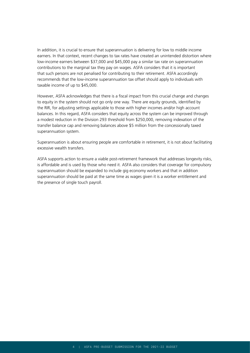In addition, it is crucial to ensure that superannuation is delivering for low to middle income earners. In that context, recent changes to tax rates have created an unintended distortion where low-income earners between \$37,000 and \$45,000 pay a similar tax rate on superannuation contributions to the marginal tax they pay on wages. ASFA considers that it is important that such persons are not penalised for contributing to their retirement. ASFA accordingly recommends that the low-income superannuation tax offset should apply to individuals with taxable income of up to \$45,000.

However, ASFA acknowledges that there is a fiscal impact from this crucial change and changes to equity in the system should not go only one way. There are equity grounds, identified by the RIR, for adjusting settings applicable to those with higher incomes and/or high account balances. In this regard, ASFA considers that equity across the system can be improved through a modest reduction in the Division 293 threshold from \$250,000, removing indexation of the transfer balance cap and removing balances above \$5 million from the concessionally taxed superannuation system.

Superannuation is about ensuring people are comfortable in retirement, it is not about facilitating excessive wealth transfers.

ASFA supports action to ensure a viable post-retirement framework that addresses longevity risks, is affordable and is used by those who need it. ASFA also considers that coverage for compulsory superannuation should be expanded to include gig economy workers and that in addition superannuation should be paid at the same time as wages given it is a worker entitlement and the presence of single touch payroll.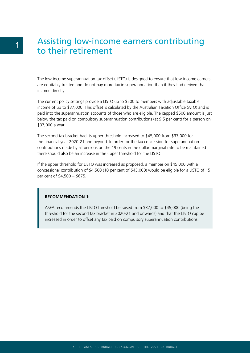# Assisting low-income earners contributing to their retirement

The low-income superannuation tax offset (LISTO) is designed to ensure that low-income earners are equitably treated and do not pay more tax in superannuation than if they had derived that income directly.

The current policy settings provide a LISTO up to \$500 to members with adjustable taxable income of up to \$37,000. This offset is calculated by the Australian Taxation Office (ATO) and is paid into the superannuation accounts of those who are eligible. The capped \$500 amount is just below the tax paid on compulsory superannuation contributions (at 9.5 per cent) for a person on \$37,000 a year.

The second tax bracket had its upper threshold increased to \$45,000 from \$37,000 for the financial year 2020-21 and beyond. In order for the tax concession for superannuation contributions made by all persons on the 19 cents in the dollar marginal rate to be maintained there should also be an increase in the upper threshold for the LISTO.

If the upper threshold for LISTO was increased as proposed, a member on \$45,000 with a concessional contribution of \$4,500 (10 per cent of \$45,000) would be eligible for a LISTO of 15 per cent of \$4,500 = \$675.

#### **RECOMMENDATION 1:**

ASFA recommends the LISTO threshold be raised from \$37,000 to \$45,000 (being the threshold for the second tax bracket in 2020-21 and onwards) and that the LISTO cap be increased in order to offset any tax paid on compulsory superannuation contributions.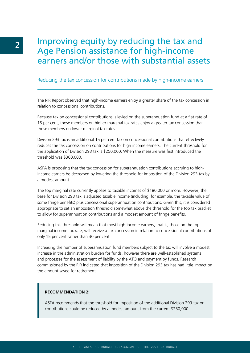# Improving equity by reducing the tax and Age Pension assistance for high-income earners and/or those with substantial assets

# Reducing the tax concession for contributions made by high-income earners

The RIR Report observed that high-income earners enjoy a greater share of the tax concession in relation to concessional contributions.

Because tax on concessional contributions is levied on the superannuation fund at a flat rate of 15 per cent, those members on higher marginal tax rates enjoy a greater tax concession than those members on lower marginal tax rates.

Division 293 tax is an additional 15 per cent tax on concessional contributions that effectively reduces the tax concession on contributions for high income earners. The current threshold for the application of Division 293 tax is \$250,000. When the measure was first introduced the threshold was \$300,000.

ASFA is proposing that the tax concession for superannuation contributions accruing to highincome earners be decreased by lowering the threshold for imposition of the Division 293 tax by a modest amount.

The top marginal rate currently applies to taxable incomes of \$180,000 or more. However, the base for Division 293 tax is adjusted taxable income (including, for example, the taxable value of some fringe benefits) plus concessional superannuation contributions. Given this, it is considered appropriate to set an imposition threshold somewhat above the threshold for the top tax bracket to allow for superannuation contributions and a modest amount of fringe benefits.

Reducing this threshold will mean that most high-income earners, that is, those on the top marginal income tax rate, will receive a tax concession in relation to concessional contributions of only 15 per cent rather than 30 per cent.

Increasing the number of superannuation fund members subject to the tax will involve a modest increase in the administration burden for funds, however there are well-established systems and processes for the assessment of liability by the ATO and payment by funds. Research commissioned by the RIR indicated that imposition of the Division 293 tax has had little impact on the amount saved for retirement.

#### **RECOMMENDATION 2:**

ASFA recommends that the threshold for imposition of the additional Division 293 tax on contributions could be reduced by a modest amount from the current \$250,000.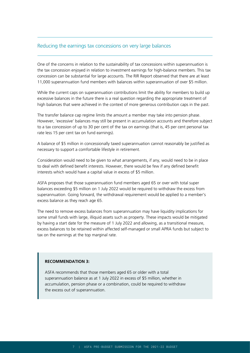## Reducing the earnings tax concessions on very large balances

One of the concerns in relation to the sustainability of tax concessions within superannuation is the tax concession enjoyed in relation to investment earnings for high-balance members. This tax concession can be substantial for large accounts. The RIR Report observed that there are at least 11,000 superannuation fund members with balances within superannuation of over \$5 million.

While the current caps on superannuation contributions limit the ability for members to build up excessive balances in the future there is a real question regarding the appropriate treatment of high balances that were achieved in the context of more generous contribution caps in the past.

The transfer balance cap regime limits the amount a member may take into pension phase. However, 'excessive' balances may still be present in accumulation accounts and therefore subject to a tax concession of up to 30 per cent of the tax on earnings (that is, 45 per cent personal tax rate less 15 per cent tax on fund earnings).

A balance of \$5 million in concessionally taxed superannuation cannot reasonably be justified as necessary to support a comfortable lifestyle in retirement.

Consideration would need to be given to what arrangements, if any, would need to be in place to deal with defined benefit interests. However, there would be few if any defined benefit interests which would have a capital value in excess of \$5 million.

ASFA proposes that those superannuation fund members aged 65 or over with total super balances exceeding \$5 million on 1 July 2022 would be required to withdraw the excess from superannuation. Going forward, the withdrawal requirement would be applied to a member's excess balance as they reach age 65.

The need to remove excess balances from superannuation may have liquidity implications for some small funds with large, illiquid assets such as property. These impacts would be mitigated by having a start date for the measure of 1 July 2022 and allowing, as a transitional measure, excess balances to be retained within affected self-managed or small APRA funds but subject to tax on the earnings at the top marginal rate.

#### **RECOMMENDATION 3:**

ASFA recommends that those members aged 65 or older with a total superannuation balance as at 1 July 2022 in excess of \$5 million, whether in accumulation, pension phase or a combination, could be required to withdraw the excess out of superannuation.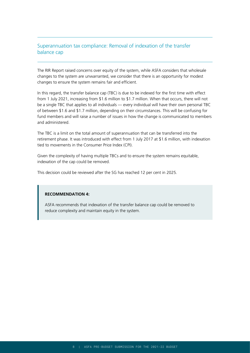# Superannuation tax compliance: Removal of indexation of the transfer balance cap

The RIR Report raised concerns over equity of the system, while ASFA considers that wholesale changes to the system are unwarranted, we consider that there is an opportunity for modest changes to ensure the system remains fair and efficient.

In this regard, the transfer balance cap (TBC) is due to be indexed for the first time with effect from 1 July 2021, increasing from \$1.6 million to \$1.7 million. When that occurs, there will not be a single TBC that applies to all individuals — every individual will have their own personal TBC of between \$1.6 and \$1.7 million, depending on their circumstances. This will be confusing for fund members and will raise a number of issues in how the change is communicated to members and administered.

The TBC is a limit on the total amount of superannuation that can be transferred into the retirement phase. It was introduced with effect from 1 July 2017 at \$1.6 million, with indexation tied to movements in the Consumer Price Index (CPI).

Given the complexity of having multiple TBCs and to ensure the system remains equitable, indexation of the cap could be removed.

This decision could be reviewed after the SG has reached 12 per cent in 2025.

#### **RECOMMENDATION 4:**

ASFA recommends that indexation of the transfer balance cap could be removed to reduce complexity and maintain equity in the system.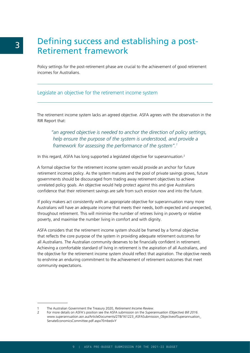# Defining success and establishing a post-Retirement framework

Policy settings for the post-retirement phase are crucial to the achievement of good retirement incomes for Australians.

## Legislate an objective for the retirement income system

The retirement income system lacks an agreed objective. ASFA agrees with the observation in the RIR Report that:

*"an agreed objective is needed to anchor the direction of policy settings, help ensure the purpose of the system is understood, and provide a framework for assessing the performance of the system".1*

In this regard, ASFA has long supported a legislated objective for superannuation.<sup>2</sup>

A formal objective for the retirement income system would provide an anchor for future retirement incomes policy. As the system matures and the pool of private savings grows, future governments should be discouraged from trading away retirement objectives to achieve unrelated policy goals. An objective would help protect against this and give Australians confidence that their retirement savings are safe from such erosion now and into the future.

If policy makers act consistently with an appropriate objective for superannuation many more Australians will have an adequate income that meets their needs, both expected and unexpected, throughout retirement. This will minimise the number of retirees living in poverty or relative poverty, and maximise the number living in comfort and with dignity.

ASFA considers that the retirement income system should be framed by a formal objective that reflects the core purpose of the system in providing adequate retirement outcomes for all Australians. The Australian community deserves to be financially confident in retirement. Achieving a comfortable standard of living in retirement is the aspiration of all Australians, and the objective for the retirement income system should reflect that aspiration. The objective needs to enshrine an enduring commitment to the achievement of retirement outcomes that meet community expectations.

<sup>1</sup> The Australian Government the Treasury 2020, *Retirement Income Review*.

<sup>2</sup> For more details on ASFA's position see the ASFA submission on the *Superannuation (Objective) Bill 2016*. [www.superannuation.asn.au/ArticleDocuments/278/161223\\_ASFASubmission\\_ObjectiveofSuperannuation\\_](https://www.superannuation.asn.au/ArticleDocuments/278/161223_ASFASubmission_ObjectiveofSuperannuation_SenateEconomicsCommittee.pdf.aspx?Embed=Y) [SenateEconomicsCommittee.pdf.aspx?Embed=Y](https://www.superannuation.asn.au/ArticleDocuments/278/161223_ASFASubmission_ObjectiveofSuperannuation_SenateEconomicsCommittee.pdf.aspx?Embed=Y)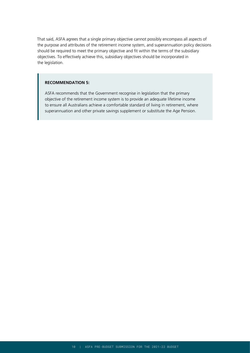That said, ASFA agrees that a single primary objective cannot possibly encompass all aspects of the purpose and attributes of the retirement income system, and superannuation policy decisions should be required to meet the primary objective and fit within the terms of the subsidiary objectives. To effectively achieve this, subsidiary objectives should be incorporated in the legislation.

#### **RECOMMENDATION 5:**

ASFA recommends that the Government recognise in legislation that the primary objective of the retirement income system is to provide an adequate lifetime income to ensure all Australians achieve a comfortable standard of living in retirement, where superannuation and other private savings supplement or substitute the Age Pension.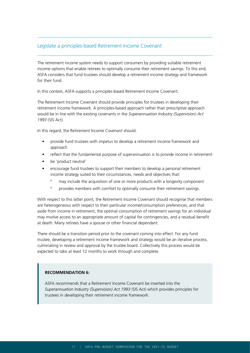# Legislate a principles-based Retirement Income Covenant

The retirement income system needs to support consumers by providing suitable retirement income options that enable retirees to optimally consume their retirement savings. To this end, ASFA considers that fund trustees should develop a retirement income strategy and framework for their fund.

In this context, ASFA supports a principles-based Retirement Income Covenant.

The Retirement Income Covenant should provide principles for trustees in developing their retirement income framework. A principles-based approach rather than prescriptive approach would be in line with the existing covenants in the *Superannuation Industry (Supervision) Act 1993* (SIS Act).

In this regard, the Retirement Income Covenant should:

- provide fund trustees with impetus to develop a retirement income framework and approach
- reflect that the fundamental purpose of superannuation is to provide income in retirement
- be 'product neutral'
- encourage fund trustees to support their members to develop a personal retirement income strategy suited to their circumstances, needs and objectives that:
	- º may include the acquisition of one or more products with a longevity component
	- º provides members with comfort to optimally consume their retirement savings.

With respect to this latter point, the Retirement Income Covenant should recognise that members are heterogeneous with respect to their particular income/consumption preferences, and that aside from income in retirement, the optimal consumption of retirement savings for an individual may involve access to an appropriate amount of capital for contingencies, and a residual benefit at death. Many retirees have a spouse or other financial dependant.

There should be a transition period prior to the covenant coming into effect. For any fund trustee, developing a retirement income framework and strategy would be an iterative process, culminating in review and approval by the trustee board. Collectively this process would be expected to take at least 12 months to work through and complete.

#### **RECOMMENDATION 6:**

ASFA recommends that a Retirement Income Covenant be inserted into the *Superannuation Industry (Supervision) Act 1993* (SIS Act) which provides principles for trustees in developing their retirement income framework.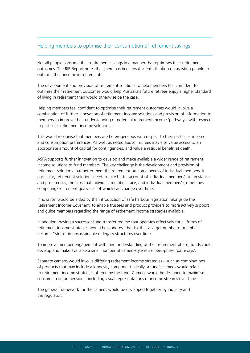# Helping members to optimise their consumption of retirement savings

Not all people consume their retirement savings in a manner that optimises their retirement outcomes. The RIR Report notes that there has been insufficient attention on assisting people to optimise their income in retirement.

The development and provision of retirement solutions to help members feel confident to optimise their retirement outcomes would help Australia's future retirees enjoy a higher standard of living in retirement than would otherwise be the case.

Helping members feel confident to optimise their retirement outcomes would involve a combination of further innovation of retirement income solutions and provision of information to members to improve their understanding of potential retirement income 'pathways' with respect to particular retirement income solutions.

This would recognise that members are heterogeneous with respect to their particular income and consumption preferences. As well, as noted above, retirees may also value access to an appropriate amount of capital for contingencies, and value a residual benefit at death.

ASFA supports further innovation to develop and make available a wider range of retirement income solutions to fund members. The key challenge is the development and provision of retirement solutions that better meet the retirement outcome needs of individual members. In particular, retirement solutions need to take better account of individual members' circumstances and preferences, the risks that individual members face, and individual members' (sometimes competing) retirement goals – all of which can change over time.

Innovation would be aided by the introduction of safe harbour legislation, alongside the Retirement Income Covenant, to enable trustees and product providers to more actively support and guide members regarding the range of retirement income strategies available.

In addition, having a successor fund transfer regime that operates effectively for all forms of retirement income strategies would help address the risk that a larger number of members' become "stuck" in unsustainable or legacy structures over time.

To improve member engagement with, and understanding of their retirement phase, funds could develop and make available a small number of cameo-style retirement-phase 'pathways'.

Separate cameos would involve differing retirement income strategies – such as combinations of products that may include a longevity component. Ideally, a fund's cameos would relate to retirement income strategies offered by the fund. Cameos would be designed to maximise consumer comprehension – including visual representations of income streams over time.

The general framework for the cameos would be developed together by industry and the regulator.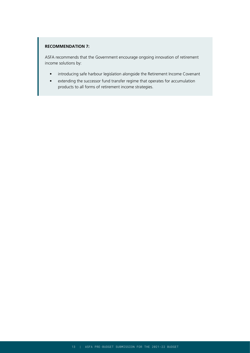### **RECOMMENDATION 7:**

ASFA recommends that the Government encourage ongoing innovation of retirement income solutions by:

- introducing safe harbour legislation alongside the Retirement Income Covenant
- extending the successor fund transfer regime that operates for accumulation products to all forms of retirement income strategies.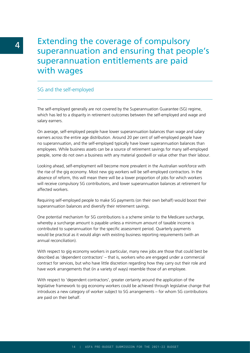# Extending the coverage of compulsory superannuation and ensuring that people's superannuation entitlements are paid with wages

# SG and the self-employed

The self-employed generally are not covered by the Superannuation Guarantee (SG) regime, which has led to a disparity in retirement outcomes between the self-employed and wage and salary earners.

On average, self-employed people have lower superannuation balances than wage and salary earners across the entire age distribution. Around 20 per cent of self-employed people have no superannuation, and the self-employed typically have lower superannuation balances than employees. While business assets can be a source of retirement savings for many self-employed people, some do not own a business with any material goodwill or value other than their labour.

Looking ahead, self-employment will become more prevalent in the Australian workforce with the rise of the gig economy. Most new gig workers will be self-employed contractors. In the absence of reform, this will mean there will be a lower proportion of jobs for which workers will receive compulsory SG contributions, and lower superannuation balances at retirement for affected workers.

Requiring self-employed people to make SG payments (on their own behalf) would boost their superannuation balances and diversify their retirement savings.

One potential mechanism for SG contributions is a scheme similar to the Medicare surcharge, whereby a surcharge amount is payable unless a minimum amount of taxable income is contributed to superannuation for the specific assessment period. Quarterly payments would be practical as it would align with existing business reporting requirements (with an annual reconciliation).

With respect to gig economy workers in particular, many new jobs are those that could best be described as 'dependent contractors' – that is, workers who are engaged under a commercial contract for services, but who have little discretion regarding how they carry out their role and have work arrangements that (in a variety of ways) resemble those of an employee.

With respect to 'dependent contractors', greater certainty around the application of the legislative framework to gig economy workers could be achieved through legislative change that introduces a new category of worker subject to SG arrangements – for whom SG contributions are paid on their behalf.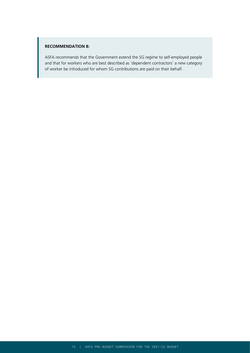### **RECOMMENDATION 8:**

ASFA recommends that the Government extend the SG regime to self-employed people and that for workers who are best described as 'dependent contractors' a new category of worker be introduced for whom SG contributions are paid on their behalf.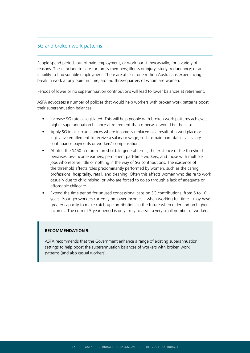# SG and broken work patterns

People spend periods out of paid employment, or work part-time/casually, for a variety of reasons. These include to care for family members; illness or injury; study; redundancy; or an inability to find suitable employment. There are at least one million Australians experiencing a break in work at any point in time, around three-quarters of whom are women.

Periods of lower or no superannuation contributions will lead to lower balances at retirement.

ASFA advocates a number of policies that would help workers with broken work patterns boost their superannuation balances:

- Increase SG rate as legislated. This will help people with broken work patterns achieve a higher superannuation balance at retirement than otherwise would be the case.
- Apply SG in all circumstances where income is replaced as a result of a workplace or legislative entitlement to receive a salary or wage, such as paid parental leave, salary continuance payments or workers' compensation.
- Abolish the \$450-a-month threshold. In general terms, the existence of the threshold penalises low-income earners, permanent part-time workers, and those with multiple jobs who receive little or nothing in the way of SG contributions. The existence of the threshold affects roles predominantly performed by women, such as the caring professions, hospitality, retail, and cleaning. Often this affects women who desire to work casually due to child raising, or who are forced to do so through a lack of adequate or affordable childcare.
- Extend the time period for unused concessional caps on SG contributions, from 5 to 10 years. Younger workers currently on lower incomes – when working full-time – may have greater capacity to make catch-up contributions in the future when older and on higher incomes. The current 5-year period is only likely to assist a very small number of workers.

#### **RECOMMENDATION 9:**

ASFA recommends that the Government enhance a range of existing superannuation settings to help boost the superannuation balances of workers with broken work patterns (and also casual workers).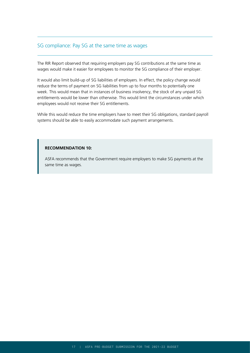# SG compliance: Pay SG at the same time as wages

The RIR Report observed that requiring employers pay SG contributions at the same time as wages would make it easier for employees to monitor the SG compliance of their employer.

It would also limit build-up of SG liabilities of employers. In effect, the policy change would reduce the terms of payment on SG liabilities from up to four months to potentially one week. This would mean that in instances of business insolvency, the stock of any unpaid SG entitlements would be lower than otherwise. This would limit the circumstances under which employees would not receive their SG entitlements.

While this would reduce the time employers have to meet their SG obligations, standard payroll systems should be able to easily accommodate such payment arrangements.

### **RECOMMENDATION 10:**

ASFA recommends that the Government require employers to make SG payments at the same time as wages.